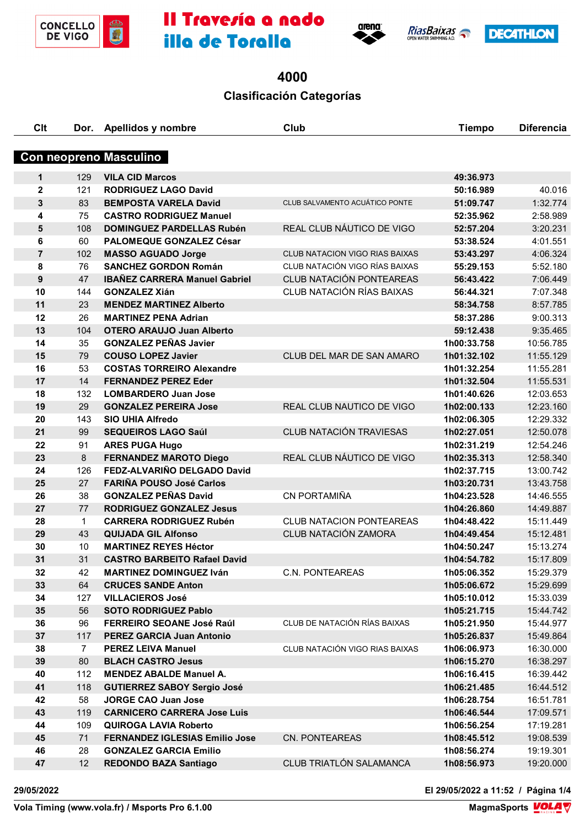









# 

## **Clasificación Categorías**

| C <sub>it</sub>               | Dor.           | <b>Apellidos y nombre</b>             | Club                                  | <b>Tiempo</b> | <b>Diferencia</b> |  |
|-------------------------------|----------------|---------------------------------------|---------------------------------------|---------------|-------------------|--|
| <b>Con neopreno Masculino</b> |                |                                       |                                       |               |                   |  |
| 1                             | 129            | <b>VILA CID Marcos</b>                |                                       | 49:36.973     |                   |  |
| $\mathbf{2}$                  | 121            | <b>RODRIGUEZ LAGO David</b>           |                                       | 50:16.989     | 40.016            |  |
| 3                             | 83             | <b>BEMPOSTA VARELA David</b>          | CLUB SALVAMENTO ACUÁTICO PONTE        | 51:09.747     | 1:32.774          |  |
| 4                             | 75             | <b>CASTRO RODRIGUEZ Manuel</b>        |                                       | 52:35.962     | 2:58.989          |  |
| 5                             | 108            | <b>DOMINGUEZ PARDELLAS Rubén</b>      | REAL CLUB NÁUTICO DE VIGO             | 52:57.204     | 3:20.231          |  |
| 6                             | 60             | <b>PALOMEQUE GONZALEZ César</b>       |                                       | 53:38.524     | 4:01.551          |  |
| $\overline{7}$                | 102            | <b>MASSO AGUADO Jorge</b>             | <b>CLUB NATACION VIGO RIAS BAIXAS</b> | 53:43.297     | 4:06.324          |  |
| 8                             | 76             | <b>SANCHEZ GORDON Román</b>           | CLUB NATACIÓN VIGO RÍAS BAIXAS        | 55:29.153     | 5:52.180          |  |
| 9                             | 47             | <b>IBAÑEZ CARRERA Manuel Gabriel</b>  | <b>CLUB NATACIÓN PONTEAREAS</b>       | 56:43.422     | 7:06.449          |  |
| 10                            | 144            | <b>GONZALEZ Xián</b>                  | CLUB NATACIÓN RÍAS BAIXAS             | 56:44.321     | 7:07.348          |  |
| 11                            | 23             | <b>MENDEZ MARTINEZ Alberto</b>        |                                       | 58:34.758     | 8:57.785          |  |
| 12                            | 26             | <b>MARTINEZ PENA Adrian</b>           |                                       | 58:37.286     | 9:00.313          |  |
| 13                            | 104            | <b>OTERO ARAUJO Juan Alberto</b>      |                                       | 59:12.438     | 9:35.465          |  |
| 14                            | 35             | <b>GONZALEZ PEÑAS Javier</b>          |                                       | 1h00:33.758   | 10:56.785         |  |
| 15                            | 79             | <b>COUSO LOPEZ Javier</b>             | CLUB DEL MAR DE SAN AMARO             | 1h01:32.102   | 11:55.129         |  |
| 16                            | 53             | <b>COSTAS TORREIRO Alexandre</b>      |                                       | 1h01:32.254   | 11:55.281         |  |
| 17                            | 14             | <b>FERNANDEZ PEREZ Eder</b>           |                                       | 1h01:32.504   | 11:55.531         |  |
| 18                            | 132            | <b>LOMBARDERO Juan Jose</b>           |                                       | 1h01:40.626   | 12:03.653         |  |
| 19                            | 29             | <b>GONZALEZ PEREIRA Jose</b>          | REAL CLUB NAUTICO DE VIGO             | 1h02:00.133   | 12:23.160         |  |
| 20                            | 143            | <b>SIO UHIA Alfredo</b>               |                                       | 1h02:06.305   | 12:29.332         |  |
| 21                            | 99             | <b>SEQUEIROS LAGO Saúl</b>            | <b>CLUB NATACIÓN TRAVIESAS</b>        | 1h02:27.051   | 12:50.078         |  |
| 22                            | 91             | <b>ARES PUGA Hugo</b>                 |                                       | 1h02:31.219   | 12:54.246         |  |
| 23                            | 8              | <b>FERNANDEZ MAROTO Diego</b>         | REAL CLUB NÁUTICO DE VIGO             | 1h02:35.313   | 12:58.340         |  |
| 24                            | 126            | FEDZ-ALVARIÑO DELGADO David           |                                       | 1h02:37.715   | 13:00.742         |  |
| 25                            | 27             | <b>FARIÑA POUSO José Carlos</b>       |                                       | 1h03:20.731   | 13:43.758         |  |
| 26                            | 38             | <b>GONZALEZ PEÑAS David</b>           | CN PORTAMIÑA                          | 1h04:23.528   | 14:46.555         |  |
| 27                            | 77             | <b>RODRIGUEZ GONZALEZ Jesus</b>       |                                       | 1h04:26.860   | 14:49.887         |  |
| 28                            | $\mathbf 1$    | <b>CARRERA RODRIGUEZ Rubén</b>        | <b>CLUB NATACION PONTEAREAS</b>       | 1h04:48.422   | 15:11.449         |  |
| 29                            | 43             | <b>QUIJADA GIL Alfonso</b>            | CLUB NATACIÓN ZAMORA                  | 1h04:49.454   | 15:12.481         |  |
| 30                            | 10             | <b>MARTINEZ REYES Héctor</b>          |                                       | 1h04:50.247   | 15:13.274         |  |
| 31                            | 31             | <b>CASTRO BARBEITO Rafael David</b>   |                                       | 1h04:54.782   | 15:17.809         |  |
| 32                            | 42             | <b>MARTINEZ DOMINGUEZ Iván</b>        | <b>C.N. PONTEAREAS</b>                | 1h05:06.352   | 15:29.379         |  |
| 33                            | 64             | <b>CRUCES SANDE Anton</b>             |                                       | 1h05:06.672   | 15:29.699         |  |
| 34                            | 127            | <b>VILLACIEROS José</b>               |                                       | 1h05:10.012   | 15:33.039         |  |
| 35                            | 56             | <b>SOTO RODRIGUEZ Pablo</b>           |                                       | 1h05:21.715   | 15:44.742         |  |
| 36                            | 96             | FERREIRO SEOANE José Raúl             | CLUB DE NATACIÓN RÍAS BAIXAS          | 1h05:21.950   | 15:44.977         |  |
| 37                            | 117            | <b>PEREZ GARCIA Juan Antonio</b>      |                                       | 1h05:26.837   | 15:49.864         |  |
| 38                            | $\overline{7}$ | <b>PEREZ LEIVA Manuel</b>             | CLUB NATACIÓN VIGO RIAS BAIXAS        | 1h06:06.973   | 16:30.000         |  |
| 39                            | 80             | <b>BLACH CASTRO Jesus</b>             |                                       | 1h06:15.270   | 16:38.297         |  |
| 40                            | 112            | <b>MENDEZ ABALDE Manuel A.</b>        |                                       | 1h06:16.415   | 16:39.442         |  |
| 41                            | 118            | <b>GUTIERREZ SABOY Sergio José</b>    |                                       | 1h06:21.485   | 16:44.512         |  |
| 42                            | 58             | <b>JORGE CAO Juan Jose</b>            |                                       | 1h06:28.754   | 16:51.781         |  |
| 43                            | 119            | <b>CARNICERO CARRERA Jose Luis</b>    |                                       | 1h06:46.544   | 17:09.571         |  |
| 44                            | 109            | <b>QUIROGA LAVIA Roberto</b>          |                                       | 1h06:56.254   | 17:19.281         |  |
| 45                            | 71             | <b>FERNANDEZ IGLESIAS Emilio Jose</b> | CN. PONTEAREAS                        | 1h08:45.512   | 19:08.539         |  |
| 46                            | 28             | <b>GONZALEZ GARCIA Emilio</b>         |                                       | 1h08:56.274   | 19:19.301         |  |
| 47                            | 12             | <b>REDONDO BAZA Santiago</b>          | CLUB TRIATLÓN SALAMANCA               | 1h08:56.973   | 19:20.000         |  |
|                               |                |                                       |                                       |               |                   |  |

**29/05/2022 El 29/05/2022 a 11:52 / Página 1/4**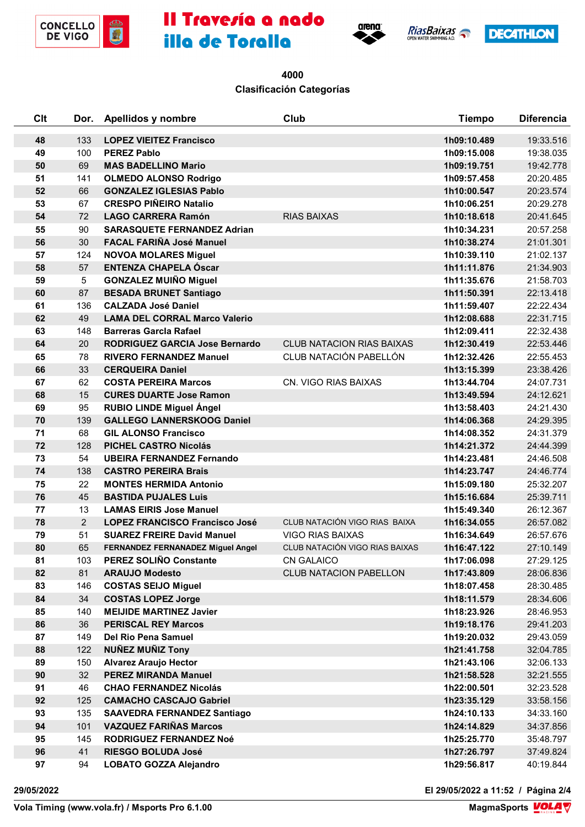









 **Clasificación Categorías**

| Clt | Dor.           | Apellidos y nombre                       | Club                             | <b>Tiempo</b> | <b>Diferencia</b> |
|-----|----------------|------------------------------------------|----------------------------------|---------------|-------------------|
| 48  | 133            | <b>LOPEZ VIEITEZ Francisco</b>           |                                  | 1h09:10.489   | 19:33.516         |
| 49  | 100            | <b>PEREZ Pablo</b>                       |                                  | 1h09:15.008   | 19:38.035         |
| 50  | 69             | <b>MAS BADELLINO Mario</b>               |                                  | 1h09:19.751   | 19:42.778         |
| 51  | 141            | <b>OLMEDO ALONSO Rodrigo</b>             |                                  | 1h09:57.458   | 20:20.485         |
| 52  | 66             | <b>GONZALEZ IGLESIAS Pablo</b>           |                                  | 1h10:00.547   | 20:23.574         |
| 53  | 67             | <b>CRESPO PIÑEIRO Natalio</b>            |                                  | 1h10:06.251   | 20:29.278         |
| 54  | 72             | <b>LAGO CARRERA Ramón</b>                | <b>RIAS BAIXAS</b>               | 1h10:18.618   | 20:41.645         |
| 55  | 90             | <b>SARASQUETE FERNANDEZ Adrian</b>       |                                  | 1h10:34.231   | 20:57.258         |
| 56  | 30             | <b>FACAL FARIÑA José Manuel</b>          |                                  | 1h10:38.274   | 21:01.301         |
| 57  | 124            | <b>NOVOA MOLARES Miguel</b>              |                                  | 1h10:39.110   | 21:02.137         |
| 58  | 57             | <b>ENTENZA CHAPELA Óscar</b>             |                                  | 1h11:11.876   | 21:34.903         |
| 59  | $\sqrt{5}$     | <b>GONZALEZ MUIÑO Miguel</b>             |                                  | 1h11:35.676   | 21:58.703         |
| 60  | 87             | <b>BESADA BRUNET Santiago</b>            |                                  | 1h11:50.391   | 22:13.418         |
| 61  | 136            | <b>CALZADA José Daniel</b>               |                                  | 1h11:59.407   | 22:22.434         |
| 62  | 49             | <b>LAMA DEL CORRAL Marco Valerio</b>     |                                  | 1h12:08.688   | 22:31.715         |
| 63  | 148            | <b>Barreras Garcla Rafael</b>            |                                  | 1h12:09.411   | 22:32.438         |
| 64  | 20             | <b>RODRIGUEZ GARCIA Jose Bernardo</b>    | <b>CLUB NATACION RIAS BAIXAS</b> | 1h12:30.419   | 22:53.446         |
| 65  | 78             | <b>RIVERO FERNANDEZ Manuel</b>           | CLUB NATACIÓN PABELLÓN           | 1h12:32.426   | 22:55.453         |
| 66  | 33             | <b>CERQUEIRA Daniel</b>                  |                                  | 1h13:15.399   | 23:38.426         |
| 67  | 62             | <b>COSTA PEREIRA Marcos</b>              | CN. VIGO RIAS BAIXAS             | 1h13:44.704   | 24:07.731         |
| 68  | 15             | <b>CURES DUARTE Jose Ramon</b>           |                                  | 1h13:49.594   | 24:12.621         |
| 69  | 95             | <b>RUBIO LINDE Miguel Ángel</b>          |                                  | 1h13:58.403   | 24:21.430         |
| 70  | 139            | <b>GALLEGO LANNERSKOOG Daniel</b>        |                                  | 1h14:06.368   | 24:29.395         |
| 71  | 68             | <b>GIL ALONSO Francisco</b>              |                                  | 1h14:08.352   | 24:31.379         |
| 72  | 128            | <b>PICHEL CASTRO Nicolás</b>             |                                  | 1h14:21.372   | 24:44.399         |
| 73  | 54             | <b>UBEIRA FERNANDEZ Fernando</b>         |                                  | 1h14:23.481   | 24:46.508         |
| 74  | 138            | <b>CASTRO PEREIRA Brais</b>              |                                  | 1h14:23.747   | 24:46.774         |
| 75  | 22             | <b>MONTES HERMIDA Antonio</b>            |                                  | 1h15:09.180   | 25:32.207         |
| 76  | 45             | <b>BASTIDA PUJALES Luis</b>              |                                  | 1h15:16.684   | 25:39.711         |
| 77  | 13             | <b>LAMAS EIRIS Jose Manuel</b>           |                                  | 1h15:49.340   | 26:12.367         |
| 78  | $\overline{2}$ | <b>LOPEZ FRANCISCO Francisco José</b>    | CLUB NATACIÓN VIGO RIAS BAIXA    | 1h16:34.055   | 26:57.082         |
| 79  | 51             | <b>SUAREZ FREIRE David Manuel</b>        | <b>VIGO RIAS BAIXAS</b>          | 1h16:34.649   | 26:57.676         |
| 80  | 65             | <b>FERNANDEZ FERNANADEZ Miguel Angel</b> | CLUB NATACIÓN VIGO RIAS BAIXAS   | 1h16:47.122   | 27:10.149         |
| 81  | 103            | PEREZ SOLIÑO Constante                   | <b>CN GALAICO</b>                | 1h17:06.098   | 27:29.125         |
| 82  | 81             | <b>ARAUJO Modesto</b>                    | <b>CLUB NATACION PABELLON</b>    | 1h17:43.809   | 28:06.836         |
| 83  | 146            | <b>COSTAS SEIJO Miguel</b>               |                                  | 1h18:07.458   | 28:30.485         |
| 84  | 34             | <b>COSTAS LOPEZ Jorge</b>                |                                  | 1h18:11.579   | 28:34.606         |
| 85  | 140            | <b>MEIJIDE MARTINEZ Javier</b>           |                                  | 1h18:23.926   | 28:46.953         |
| 86  | 36             | <b>PERISCAL REY Marcos</b>               |                                  | 1h19:18.176   | 29:41.203         |
| 87  | 149            | Del Rio Pena Samuel                      |                                  | 1h19:20.032   | 29:43.059         |
| 88  | 122            | <b>NUÑEZ MUÑIZ Tony</b>                  |                                  | 1h21:41.758   | 32:04.785         |
| 89  | 150            | <b>Alvarez Araujo Hector</b>             |                                  | 1h21:43.106   | 32:06.133         |
| 90  | 32             | <b>PEREZ MIRANDA Manuel</b>              |                                  | 1h21:58.528   | 32:21.555         |
| 91  | 46             | <b>CHAO FERNANDEZ Nicolás</b>            |                                  | 1h22:00.501   | 32:23.528         |
| 92  | 125            | <b>CAMACHO CASCAJO Gabriel</b>           |                                  | 1h23:35.129   | 33:58.156         |
| 93  | 135            | <b>SAAVEDRA FERNANDEZ Santiago</b>       |                                  | 1h24:10.133   | 34:33.160         |
| 94  | 101            | <b>VAZQUEZ FARIÑAS Marcos</b>            |                                  | 1h24:14.829   | 34:37.856         |
| 95  | 145            | RODRIGUEZ FERNANDEZ Noé                  |                                  | 1h25:25.770   | 35:48.797         |
| 96  | 41             | <b>RIESGO BOLUDA José</b>                |                                  | 1h27:26.797   | 37:49.824         |
| 97  | 94             | <b>LOBATO GOZZA Alejandro</b>            |                                  | 1h29:56.817   | 40:19.844         |

**29/05/2022 El 29/05/2022 a 11:52 / Página 2/4**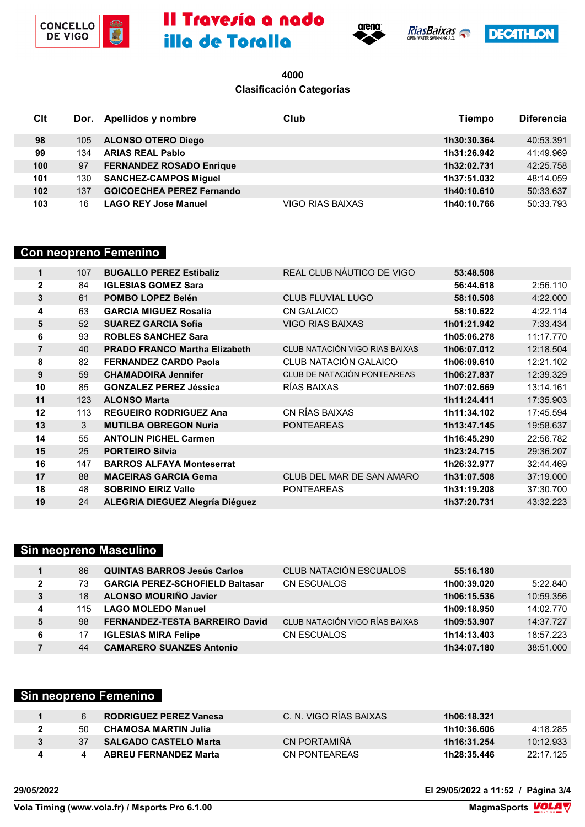









### **Clasificación Categorías**

| Clt |     | Dor. Apellidos y nombre          | Club             | Tiempo      | <b>Diferencia</b> |
|-----|-----|----------------------------------|------------------|-------------|-------------------|
|     |     |                                  |                  |             |                   |
| 98  | 105 | <b>ALONSO OTERO Diego</b>        |                  | 1h30:30.364 | 40:53.391         |
| 99  | 134 | <b>ARIAS REAL Pablo</b>          |                  | 1h31:26.942 | 41:49.969         |
| 100 | 97  | <b>FERNANDEZ ROSADO Enrique</b>  |                  | 1h32:02.731 | 42:25.758         |
| 101 | 130 | <b>SANCHEZ-CAMPOS Miguel</b>     |                  | 1h37:51.032 | 48:14.059         |
| 102 | 137 | <b>GOICOECHEA PEREZ Fernando</b> |                  | 1h40:10.610 | 50:33.637         |
| 103 | 16  | <b>LAGO REY Jose Manuel</b>      | VIGO RIAS BAIXAS | 1h40:10.766 | 50:33.793         |

#### **Con neopreno Femenino**

| 1              | 107 | <b>BUGALLO PEREZ Estibaliz</b>         | REAL CLUB NÁUTICO DE VIGO      | 53:48.508   |           |
|----------------|-----|----------------------------------------|--------------------------------|-------------|-----------|
| $\mathbf{2}$   | 84  | <b>IGLESIAS GOMEZ Sara</b>             |                                | 56:44.618   | 2:56.110  |
| 3              | 61  | POMBO LOPEZ Belén                      | <b>CLUB FLUVIAL LUGO</b>       | 58:10.508   | 4:22.000  |
| 4              | 63  | <b>GARCIA MIGUEZ Rosalía</b>           | <b>CN GALAICO</b>              | 58:10.622   | 4:22.114  |
| 5              | 52  | <b>SUAREZ GARCIA Sofia</b>             | <b>VIGO RIAS BAIXAS</b>        | 1h01:21.942 | 7:33.434  |
| 6              | 93  | <b>ROBLES SANCHEZ Sara</b>             |                                | 1h05:06.278 | 11:17.770 |
| $\overline{7}$ | 40  | <b>PRADO FRANCO Martha Elizabeth</b>   | CLUB NATACIÓN VIGO RIAS BAIXAS | 1h06:07.012 | 12:18.504 |
| 8              | 82  | <b>FERNANDEZ CARDO Paola</b>           | CLUB NATACIÓN GALAICO          | 1h06:09.610 | 12:21.102 |
| 9              | 59  | <b>CHAMADOIRA Jennifer</b>             | CLUB DE NATACIÓN PONTEAREAS    | 1h06:27.837 | 12:39.329 |
| 10             | 85  | <b>GONZALEZ PEREZ Jéssica</b>          | RÍAS BAIXAS                    | 1h07:02.669 | 13:14.161 |
| 11             | 123 | <b>ALONSO Marta</b>                    |                                | 1h11:24.411 | 17:35.903 |
| 12             | 113 | <b>REGUEIRO RODRIGUEZ Ana</b>          | CN RÍAS BAIXAS                 | 1h11:34.102 | 17:45.594 |
| 13             | 3   | <b>MUTILBA OBREGON Nuria</b>           | <b>PONTEAREAS</b>              | 1h13:47.145 | 19:58.637 |
| 14             | 55  | <b>ANTOLIN PICHEL Carmen</b>           |                                | 1h16:45.290 | 22:56.782 |
| 15             | 25  | <b>PORTEIRO Silvia</b>                 |                                | 1h23:24.715 | 29:36.207 |
| 16             | 147 | <b>BARROS ALFAYA Monteserrat</b>       |                                | 1h26:32.977 | 32:44.469 |
| 17             | 88  | <b>MACEIRAS GARCIA Gema</b>            | CLUB DEL MAR DE SAN AMARO      | 1h31:07.508 | 37:19.000 |
| 18             | 48  | <b>SOBRINO EIRIZ Valle</b>             | <b>PONTEAREAS</b>              | 1h31:19.208 | 37:30.700 |
| 19             | 24  | <b>ALEGRIA DIEGUEZ Alegría Diéguez</b> |                                | 1h37:20.731 | 43:32.223 |
|                |     |                                        |                                |             |           |

## **Sin neopreno Masculino**

|   | 86  | <b>QUINTAS BARROS Jesús Carlos</b>     | CLUB NATACIÓN ESCUALOS         | 55:16.180   |           |
|---|-----|----------------------------------------|--------------------------------|-------------|-----------|
| 2 | 73  | <b>GARCIA PEREZ-SCHOFIELD Baltasar</b> | CN ESCUALOS                    | 1h00:39.020 | 5:22.840  |
| 3 | 18  | <b>ALONSO MOURIÑO Javier</b>           |                                | 1h06:15.536 | 10:59.356 |
| 4 | 115 | <b>LAGO MOLEDO Manuel</b>              |                                | 1h09:18.950 | 14:02.770 |
| 5 | 98  | <b>FERNANDEZ-TESTA BARREIRO David</b>  | CLUB NATACIÓN VIGO RÍAS BAIXAS | 1h09:53.907 | 14:37.727 |
|   |     | <b>IGLESIAS MIRA Felipe</b>            | <b>CN ESCUALOS</b>             | 1h14:13.403 | 18:57.223 |
|   | 44  | <b>CAMARERO SUANZES Antonio</b>        |                                | 1h34:07.180 | 38:51.000 |

## **Sin neopreno Femenino**

|    | <b>RODRIGUEZ PEREZ Vanesa</b> | C. N. VIGO RIAS BAIXAS | 1h06:18.321 |           |
|----|-------------------------------|------------------------|-------------|-----------|
| 50 | CHAMOSA MARTIN Julia          |                        | 1h10:36.606 | 4:18.285  |
| 37 | <b>SALGADO CASTELO Marta</b>  | CN PORTAMIÑÁ           | 1h16:31.254 | 10:12.933 |
|    | <b>ABREU FERNANDEZ Marta</b>  | CN PONTEAREAS          | 1h28:35.446 | 22:17.125 |